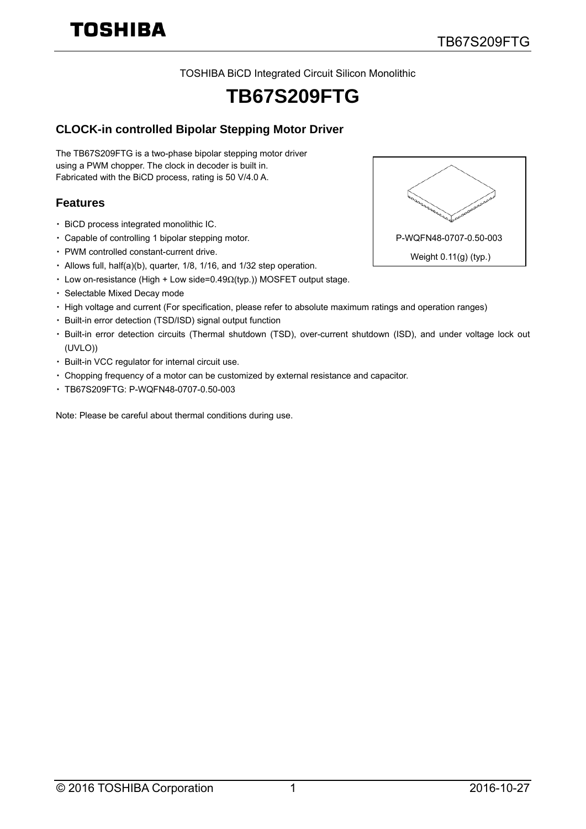TOSHIBA BiCD Integrated Circuit Silicon Monolithic

## **TB67S209FTG**

## **CLOCK-in controlled Bipolar Stepping Motor Driver**

The TB67S209FTG is a two-phase bipolar stepping motor driver using a PWM chopper. The clock in decoder is built in. Fabricated with the BiCD process, rating is 50 V/4.0 A.

#### **Features**

- ・ BiCD process integrated monolithic IC.
- ・ Capable of controlling 1 bipolar stepping motor.
- ・ PWM controlled constant-current drive.
- ・ Allows full, half(a)(b), quarter, 1/8, 1/16, and 1/32 step operation.
- ・ Low on-resistance (High + Low side=0.49Ω(typ.)) MOSFET output stage.
- ・ Selectable Mixed Decay mode
- ・ High voltage and current (For specification, please refer to absolute maximum ratings and operation ranges)
- ・ Built-in error detection (TSD/ISD) signal output function
- ・ Built-in error detection circuits (Thermal shutdown (TSD), over-current shutdown (ISD), and under voltage lock out (UVLO))
- ・ Built-in VCC regulator for internal circuit use.
- ・ Chopping frequency of a motor can be customized by external resistance and capacitor.
- ・ TB67S209FTG: P-WQFN48-0707-0.50-003

Note: Please be careful about thermal conditions during use.

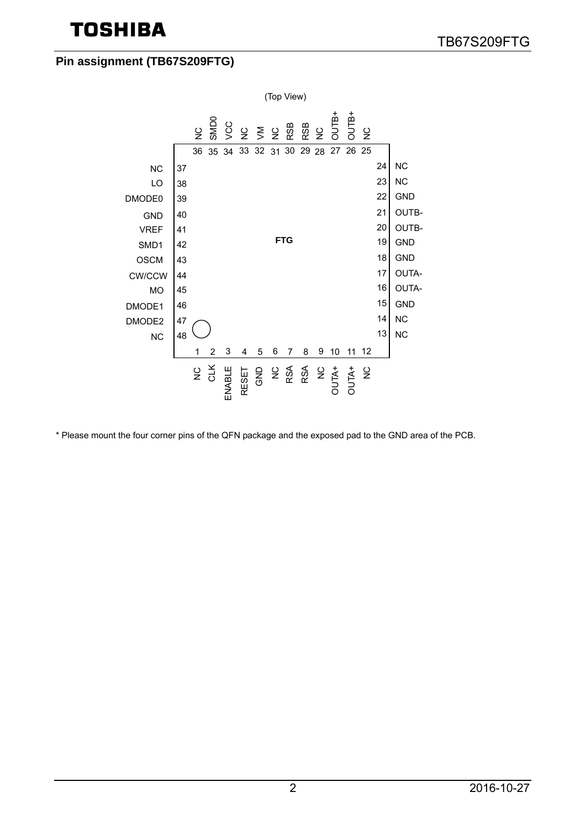## **Pin assignment (TB67S209FTG)**



\* Please mount the four corner pins of the QFN package and the exposed pad to the GND area of the PCB.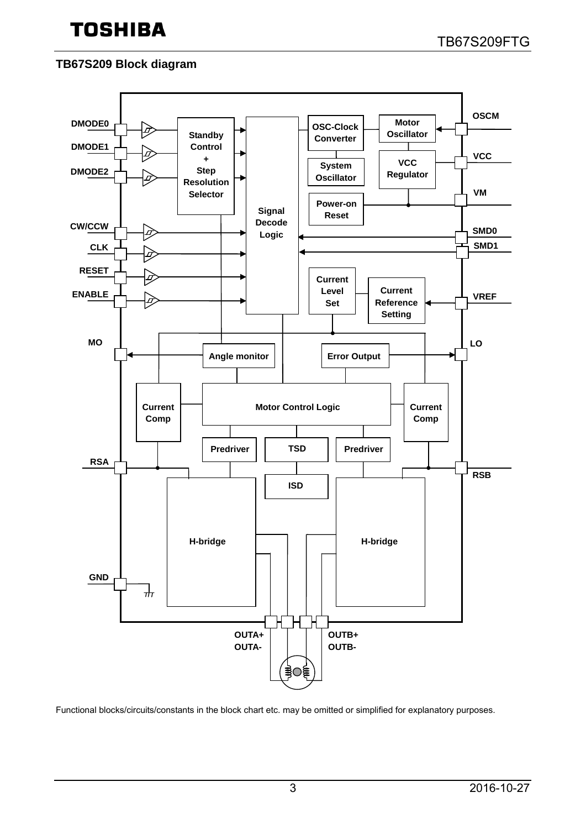## **TB67S209 Block diagram**



Functional blocks/circuits/constants in the block chart etc. may be omitted or simplified for explanatory purposes.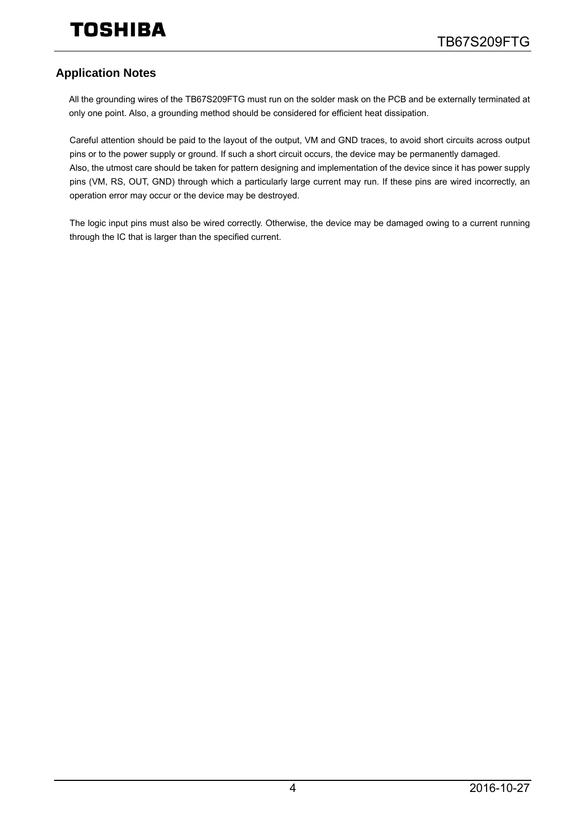## **Application Notes**

All the grounding wires of the TB67S209FTG must run on the solder mask on the PCB and be externally terminated at only one point. Also, a grounding method should be considered for efficient heat dissipation.

Careful attention should be paid to the layout of the output, VM and GND traces, to avoid short circuits across output pins or to the power supply or ground. If such a short circuit occurs, the device may be permanently damaged. Also, the utmost care should be taken for pattern designing and implementation of the device since it has power supply pins (VM, RS, OUT, GND) through which a particularly large current may run. If these pins are wired incorrectly, an operation error may occur or the device may be destroyed.

The logic input pins must also be wired correctly. Otherwise, the device may be damaged owing to a current running through the IC that is larger than the specified current.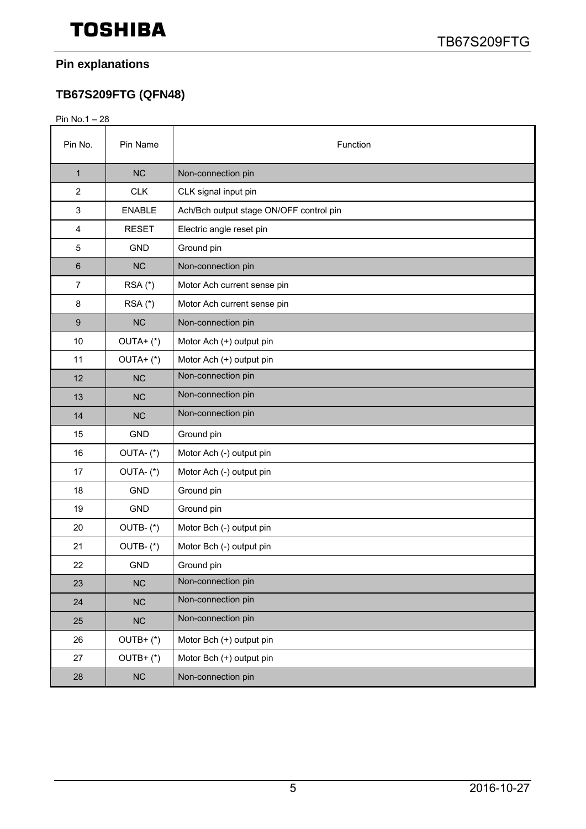## **Pin explanations**

## **TB67S209FTG (QFN48)**

Pin No.1 – 28

| Pin No.          | Pin Name      | Function                                |  |  |  |
|------------------|---------------|-----------------------------------------|--|--|--|
| $\mathbf 1$      | <b>NC</b>     | Non-connection pin                      |  |  |  |
| $\overline{2}$   | <b>CLK</b>    | CLK signal input pin                    |  |  |  |
| 3                | <b>ENABLE</b> | Ach/Bch output stage ON/OFF control pin |  |  |  |
| 4                | <b>RESET</b>  | Electric angle reset pin                |  |  |  |
| 5                | <b>GND</b>    | Ground pin                              |  |  |  |
| 6                | <b>NC</b>     | Non-connection pin                      |  |  |  |
| 7                | RSA (*)       | Motor Ach current sense pin             |  |  |  |
| 8                | $RSA$ $(*)$   | Motor Ach current sense pin             |  |  |  |
| $\boldsymbol{9}$ | <b>NC</b>     | Non-connection pin                      |  |  |  |
| 10               | $OUTA+ (*)$   | Motor Ach (+) output pin                |  |  |  |
| 11               | $OUTA+ (*)$   | Motor Ach (+) output pin                |  |  |  |
| 12               | <b>NC</b>     | Non-connection pin                      |  |  |  |
| 13               | <b>NC</b>     | Non-connection pin                      |  |  |  |
| 14               | <b>NC</b>     | Non-connection pin                      |  |  |  |
| 15               | <b>GND</b>    | Ground pin                              |  |  |  |
| 16               | OUTA-(*)      | Motor Ach (-) output pin                |  |  |  |
| 17               | OUTA-(*)      | Motor Ach (-) output pin                |  |  |  |
| 18               | <b>GND</b>    | Ground pin                              |  |  |  |
| 19               | <b>GND</b>    | Ground pin                              |  |  |  |
| 20               | OUTB-(*)      | Motor Bch (-) output pin                |  |  |  |
| 21               | OUTB-(*)      | Motor Bch (-) output pin                |  |  |  |
| 22               | <b>GND</b>    | Ground pin                              |  |  |  |
| 23               | NC            | Non-connection pin                      |  |  |  |
| 24               | NC            | Non-connection pin                      |  |  |  |
| 25               | NC            | Non-connection pin                      |  |  |  |
| 26               | $OUTB+ (*)$   | Motor Bch (+) output pin                |  |  |  |
| 27               | $OUTB+ (*)$   | Motor Bch (+) output pin                |  |  |  |
| 28               | ${\sf NC}$    | Non-connection pin                      |  |  |  |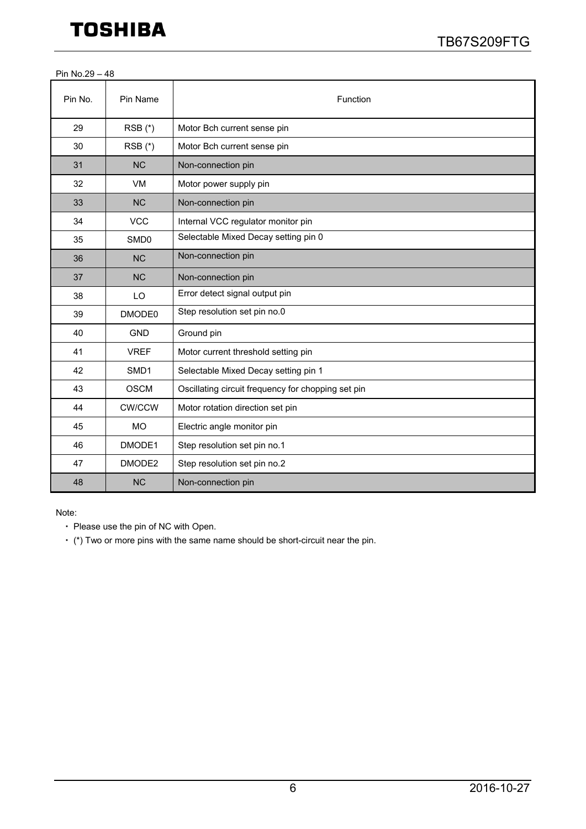|  | Pin No.29 - 48 |  |
|--|----------------|--|
|--|----------------|--|

| Pin No. | Pin Name         | Function                                           |  |  |  |
|---------|------------------|----------------------------------------------------|--|--|--|
| 29      | $RSB(*)$         | Motor Bch current sense pin                        |  |  |  |
| 30      | $RSB(*)$         | Motor Bch current sense pin                        |  |  |  |
| 31      | <b>NC</b>        | Non-connection pin                                 |  |  |  |
| 32      | VM               | Motor power supply pin                             |  |  |  |
| 33      | <b>NC</b>        | Non-connection pin                                 |  |  |  |
| 34      | <b>VCC</b>       | Internal VCC regulator monitor pin                 |  |  |  |
| 35      | SMD <sub>0</sub> | Selectable Mixed Decay setting pin 0               |  |  |  |
| 36      | <b>NC</b>        | Non-connection pin                                 |  |  |  |
| 37      | <b>NC</b>        | Non-connection pin                                 |  |  |  |
| 38      | LO               | Error detect signal output pin                     |  |  |  |
| 39      | DMODE0           | Step resolution set pin no.0                       |  |  |  |
| 40      | <b>GND</b>       | Ground pin                                         |  |  |  |
| 41      | <b>VREF</b>      | Motor current threshold setting pin                |  |  |  |
| 42      | SMD1             | Selectable Mixed Decay setting pin 1               |  |  |  |
| 43      | <b>OSCM</b>      | Oscillating circuit frequency for chopping set pin |  |  |  |
| 44      | <b>CW/CCW</b>    | Motor rotation direction set pin                   |  |  |  |
| 45      | <b>MO</b>        | Electric angle monitor pin                         |  |  |  |
| 46      | DMODE1           | Step resolution set pin no.1                       |  |  |  |
| 47      | DMODE2           | Step resolution set pin no.2                       |  |  |  |
| 48      | <b>NC</b>        | Non-connection pin                                 |  |  |  |

Note:

・ Please use the pin of NC with Open.

・ (\*) Two or more pins with the same name should be short-circuit near the pin.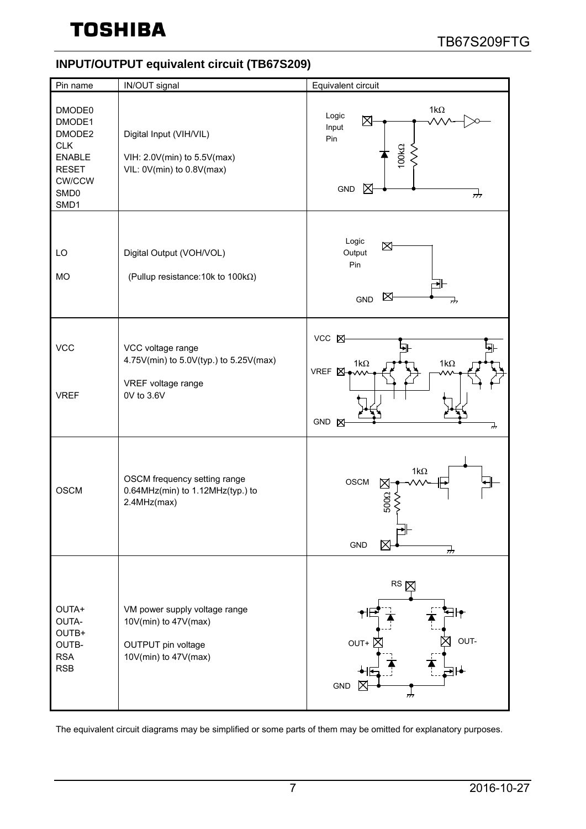## **INPUT/OUTPUT equivalent circuit (TB67S209)**

| Pin name                                                                                                               | IN/OUT signal                                                                                       | Equivalent circuit                                                                    |  |  |  |
|------------------------------------------------------------------------------------------------------------------------|-----------------------------------------------------------------------------------------------------|---------------------------------------------------------------------------------------|--|--|--|
| DMODE0<br>DMODE1<br>DMODE2<br><b>CLK</b><br><b>ENABLE</b><br><b>RESET</b><br><b>CW/CCW</b><br>SMD <sub>0</sub><br>SMD1 | Digital Input (VIH/VIL)<br>VIH: 2.0V(min) to 5.5V(max)<br>VIL: 0V(min) to 0.8V(max)                 | 1 $k\Omega$<br>Logic<br>⊠<br>Input<br>Pin<br>100kΩ<br><b>GND</b><br>⋉<br>$\vec{r}$    |  |  |  |
| LO<br><b>MO</b>                                                                                                        | Digital Output (VOH/VOL)<br>(Pullup resistance: 10k to 100kΩ)                                       | Logic<br>⊠<br>Output<br>Pin<br>⋉<br><b>GND</b>                                        |  |  |  |
| <b>VCC</b><br><b>VREF</b>                                                                                              | VCC voltage range<br>4.75V(min) to 5.0V(typ.) to 5.25V(max)<br>VREF voltage range<br>0V to 3.6V     | <b>VCC 区</b><br>म⊦<br>$1k\Omega$<br>1k $\Omega$<br>VREF <sub>N</sub><br>GND<br>⊠<br>୷ |  |  |  |
| <b>OSCM</b>                                                                                                            | OSCM frequency setting range<br>0.64MHz(min) to 1.12MHz(typ.) to<br>2.4MHz(max)                     | $1k\Omega$<br>OSCM<br>$500\Omega \times$<br><b>GND</b><br>$\frac{1}{2}$               |  |  |  |
| OUTA+<br>OUTA-<br>OUTB+<br>OUTB-<br><b>RSA</b><br><b>RSB</b>                                                           | VM power supply voltage range<br>10V(min) to 47V(max)<br>OUTPUT pin voltage<br>10V(min) to 47V(max) | RS X<br>OUT-<br>OUT+<br><b>GND</b><br>₩,                                              |  |  |  |
| The equivalent circuit diagrams may be simplified or some parts of them may be omitted for explanatory purposes.       |                                                                                                     |                                                                                       |  |  |  |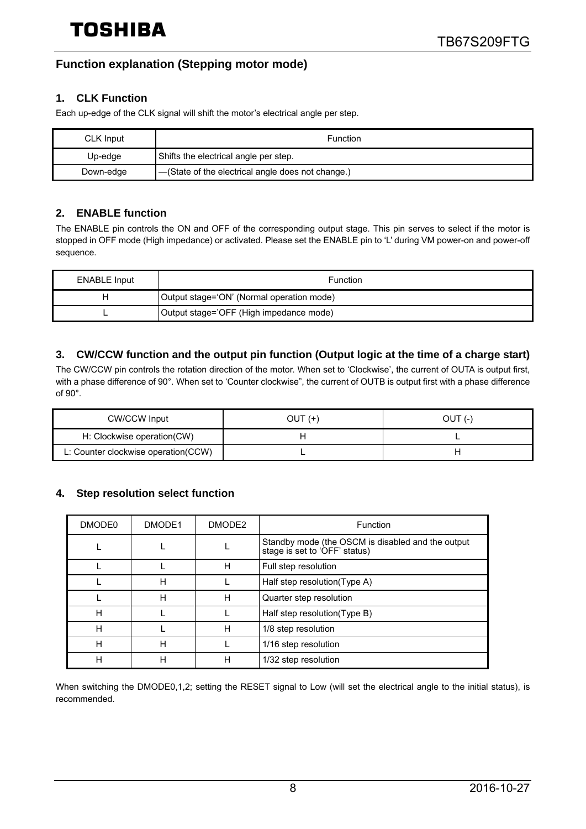## **Function explanation (Stepping motor mode)**

#### **1. CLK Function**

Each up-edge of the CLK signal will shift the motor's electrical angle per step.

| CLK Input                                                      | <b>Function</b> |  |
|----------------------------------------------------------------|-----------------|--|
| Shifts the electrical angle per step.<br>Up-edge               |                 |  |
| -(State of the electrical angle does not change.)<br>Down-edge |                 |  |

#### **2. ENABLE function**

The ENABLE pin controls the ON and OFF of the corresponding output stage. This pin serves to select if the motor is stopped in OFF mode (High impedance) or activated. Please set the ENABLE pin to 'L' during VM power-on and power-off sequence.

| <b>ENABLE Input</b> | <b>Function</b>                           |  |
|---------------------|-------------------------------------------|--|
|                     | Output stage='ON' (Normal operation mode) |  |
|                     | Output stage='OFF (High impedance mode)   |  |

#### **3. CW/CCW function and the output pin function (Output logic at the time of a charge start)**

The CW/CCW pin controls the rotation direction of the motor. When set to 'Clockwise', the current of OUTA is output first, with a phase difference of 90°. When set to 'Counter clockwise", the current of OUTB is output first with a phase difference of 90°.

| <b>CW/CCW Input</b>                  | OUT (+) | OUT (-) |
|--------------------------------------|---------|---------|
| H: Clockwise operation(CW)           |         |         |
| L: Counter clockwise operation (CCW) |         |         |

#### **4. Step resolution select function**

| DMODE0 | DMODE1 | DMODE <sub>2</sub> | Function                                                                           |
|--------|--------|--------------------|------------------------------------------------------------------------------------|
|        |        |                    | Standby mode (the OSCM is disabled and the output<br>stage is set to 'OFF' status) |
|        |        | н                  | Full step resolution                                                               |
|        | Н      |                    | Half step resolution(Type A)                                                       |
|        | Н      | н                  | Quarter step resolution                                                            |
| H      |        |                    | Half step resolution(Type B)                                                       |
| н      |        | н                  | 1/8 step resolution                                                                |
| н      | Н      |                    | 1/16 step resolution                                                               |
| н      | н      | н                  | 1/32 step resolution                                                               |

When switching the DMODE0,1,2; setting the RESET signal to Low (will set the electrical angle to the initial status), is recommended.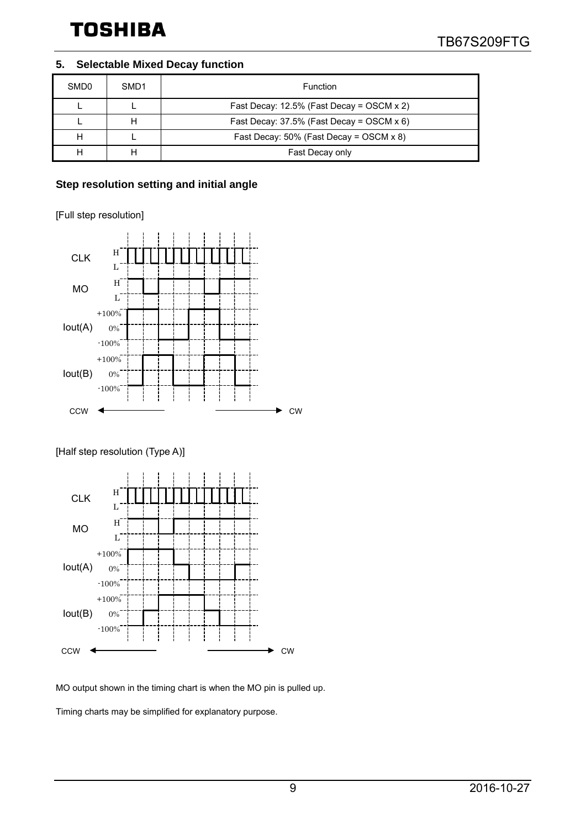#### **5. Selectable Mixed Decay function**

| SMD <sub>0</sub> | SMD <sub>1</sub> | Function                                     |  |  |  |
|------------------|------------------|----------------------------------------------|--|--|--|
|                  |                  | Fast Decay: $12.5\%$ (Fast Decay = OSCM x 2) |  |  |  |
|                  |                  | Fast Decay: $37.5\%$ (Fast Decay = OSCM x 6) |  |  |  |
|                  |                  | Fast Decay: $50\%$ (Fast Decay = OSCM x 8)   |  |  |  |
|                  |                  | Fast Decay only                              |  |  |  |

#### **Step resolution setting and initial angle**

[Full step resolution]



[Half step resolution (Type A)]



MO output shown in the timing chart is when the MO pin is pulled up.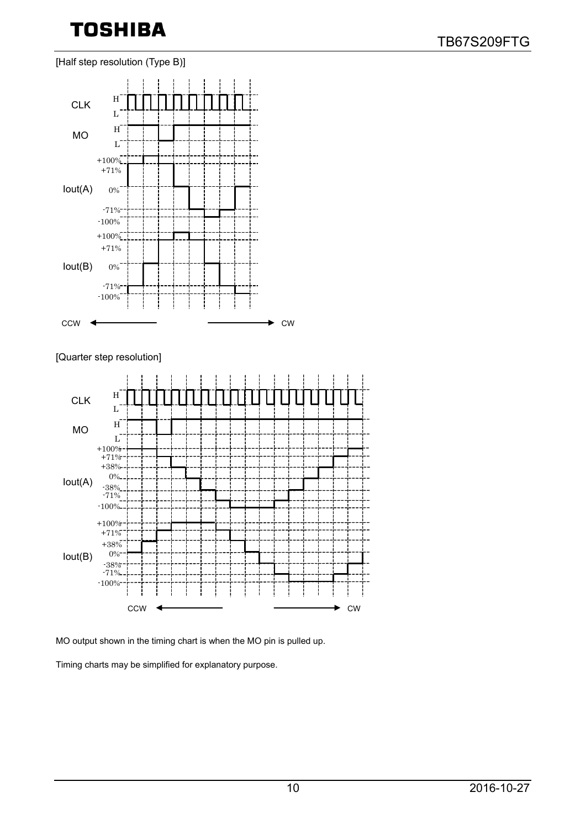[Half step resolution (Type B)]



[Quarter step resolution]



MO output shown in the timing chart is when the MO pin is pulled up.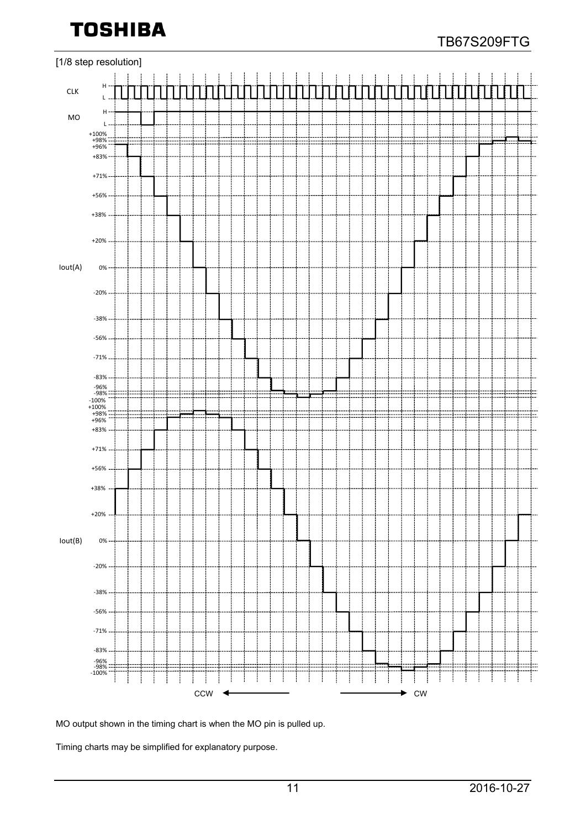

MO output shown in the timing chart is when the MO pin is pulled up.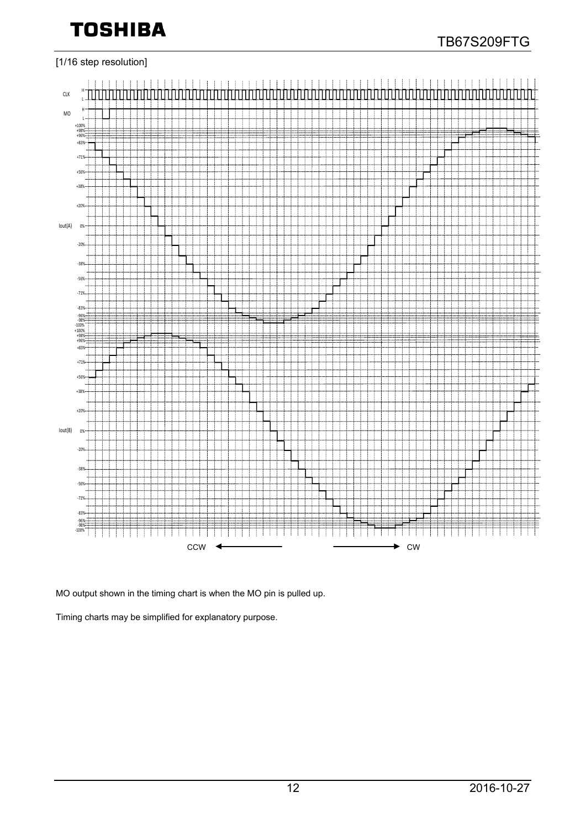

#### [1/16 step resolution]



MO output shown in the timing chart is when the MO pin is pulled up.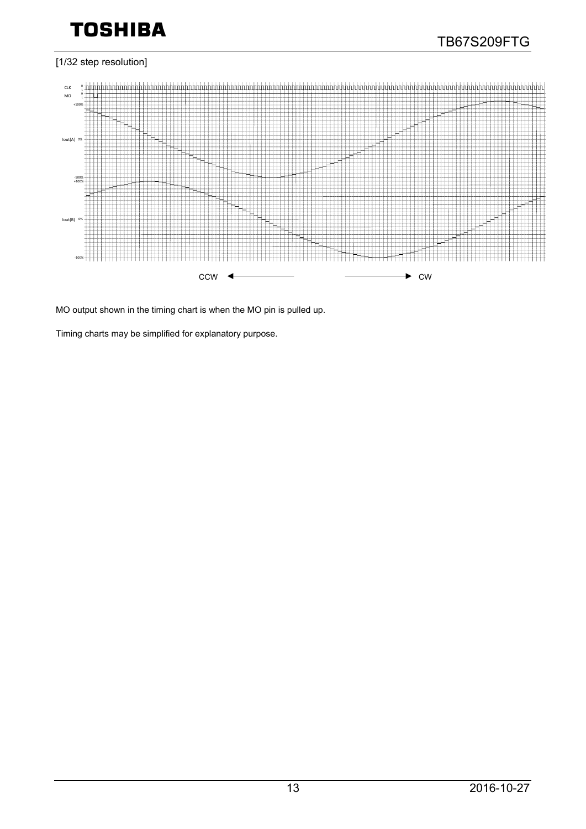#### [1/32 step resolution]



MO output shown in the timing chart is when the MO pin is pulled up.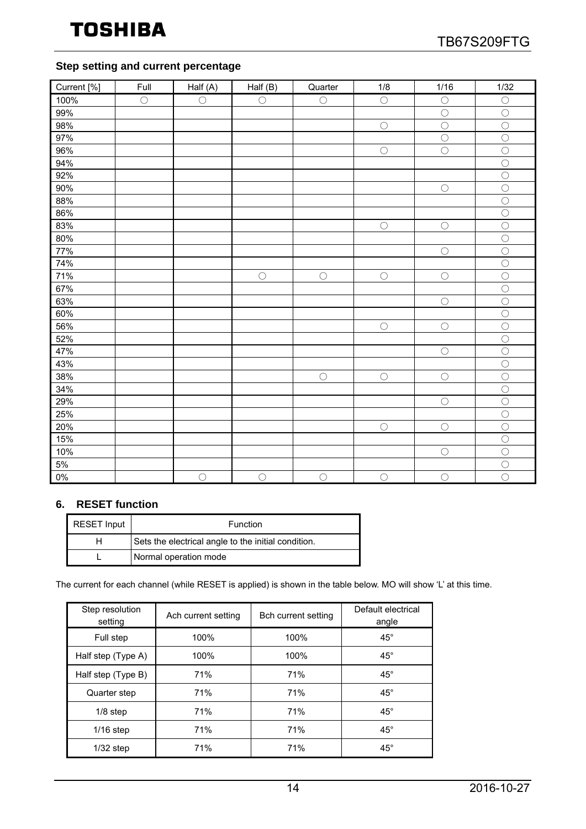#### **Step setting and current percentage**

| Current [%] | Full       | Hall(A)    | Half $(B)$ | Quarter    | 1/8        | 1/16       | 1/32                  |
|-------------|------------|------------|------------|------------|------------|------------|-----------------------|
| 100%        | $\bigcirc$ | $\bigcirc$ | $\bigcirc$ | $\bigcirc$ | $\bigcirc$ | $\bigcirc$ | $\bigcirc$            |
| 99%         |            |            |            |            |            | $\bigcirc$ | $\bigcirc$            |
| 98%         |            |            |            |            | $\bigcirc$ | $\bigcirc$ | $\bigcirc$            |
| 97%         |            |            |            |            |            | $\bigcirc$ | $\bigcirc$            |
| 96%         |            |            |            |            | $\bigcirc$ | $\bigcirc$ | $\bigcirc$            |
| 94%         |            |            |            |            |            |            | $\bigcirc$            |
| 92%         |            |            |            |            |            |            | $\bigcirc$            |
| 90%         |            |            |            |            |            | $\bigcirc$ | $\overline{\bigcirc}$ |
| 88%         |            |            |            |            |            |            | $\bigcirc$            |
| 86%         |            |            |            |            |            |            | $\overline{\bigcirc}$ |
| 83%         |            |            |            |            | $\bigcirc$ | $\bigcirc$ | $\overline{\bigcirc}$ |
| 80%         |            |            |            |            |            |            | $\bigcirc$            |
| 77%         |            |            |            |            |            | $\bigcirc$ | $\bigcirc$            |
| 74%         |            |            |            |            |            |            | $\bigcirc$            |
| 71%         |            |            | $\bigcirc$ | $\bigcirc$ | $\bigcirc$ | $\bigcirc$ | $\bigcirc$            |
| 67%         |            |            |            |            |            |            | $\bigcirc$            |
| 63%         |            |            |            |            |            | $\bigcirc$ | $\bigcirc$            |
| 60%         |            |            |            |            |            |            | $\bigcirc$            |
| 56%         |            |            |            |            | $\bigcirc$ | $\bigcirc$ | $\bigcirc$            |
| 52%         |            |            |            |            |            |            | $\bigcirc$            |
| 47%         |            |            |            |            |            | $\bigcirc$ | $\bigcirc$            |
| 43%         |            |            |            |            |            |            | $\overline{\bigcirc}$ |
| 38%         |            |            |            | $\bigcirc$ | $\bigcirc$ | $\bigcirc$ | $\overline{\bigcirc}$ |
| 34%         |            |            |            |            |            |            | $\overline{\bigcirc}$ |
| 29%         |            |            |            |            |            | $\bigcirc$ | $\bigcirc$            |
| 25%         |            |            |            |            |            |            | $\overline{\bigcirc}$ |
| 20%         |            |            |            |            | $\bigcirc$ | $\bigcirc$ | $\bigcirc$            |
| 15%         |            |            |            |            |            |            | $\overline{O}$        |
| 10%         |            |            |            |            |            | $\bigcirc$ | $\overline{\bigcirc}$ |
| 5%          |            |            |            |            |            |            | $\overline{\bigcirc}$ |
| $0\%$       |            | $\bigcirc$ | $\bigcirc$ | $\bigcirc$ | $\bigcirc$ | $\bigcirc$ | $\overline{O}$        |

#### **6. RESET function**

| <b>RESET Input</b> | Function                                            |  |
|--------------------|-----------------------------------------------------|--|
|                    | Sets the electrical angle to the initial condition. |  |
|                    | Normal operation mode                               |  |

The current for each channel (while RESET is applied) is shown in the table below. MO will show 'L' at this time.

| Step resolution<br>setting | Ach current setting | Bch current setting | Default electrical<br>angle |
|----------------------------|---------------------|---------------------|-----------------------------|
| 100%<br>Full step          |                     | 100%                | $45^{\circ}$                |
| Half step (Type A)         | 100%                | 100%                | $45^{\circ}$                |
| Half step (Type B)         | 71%                 | 71%                 | $45^{\circ}$                |
| Quarter step               | 71%                 | 71%                 | $45^{\circ}$                |
| $1/8$ step                 | 71%                 | 71%                 | $45^{\circ}$                |
| $1/16$ step                | 71%                 | 71%                 | $45^{\circ}$                |
| $1/32$ step                | 71%                 | 71%                 | $45^{\circ}$                |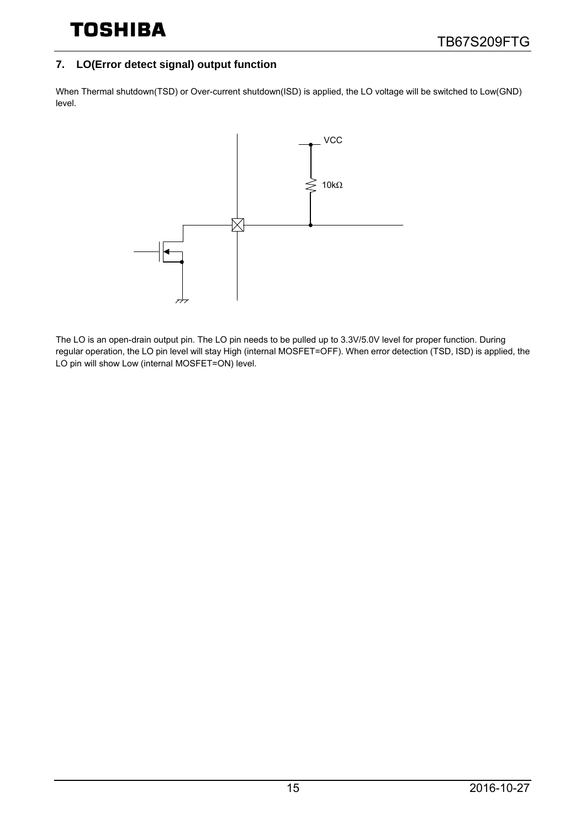### **7. LO(Error detect signal) output function**

When Thermal shutdown(TSD) or Over-current shutdown(ISD) is applied, the LO voltage will be switched to Low(GND) level.



The LO is an open-drain output pin. The LO pin needs to be pulled up to 3.3V/5.0V level for proper function. During regular operation, the LO pin level will stay High (internal MOSFET=OFF). When error detection (TSD, ISD) is applied, the LO pin will show Low (internal MOSFET=ON) level.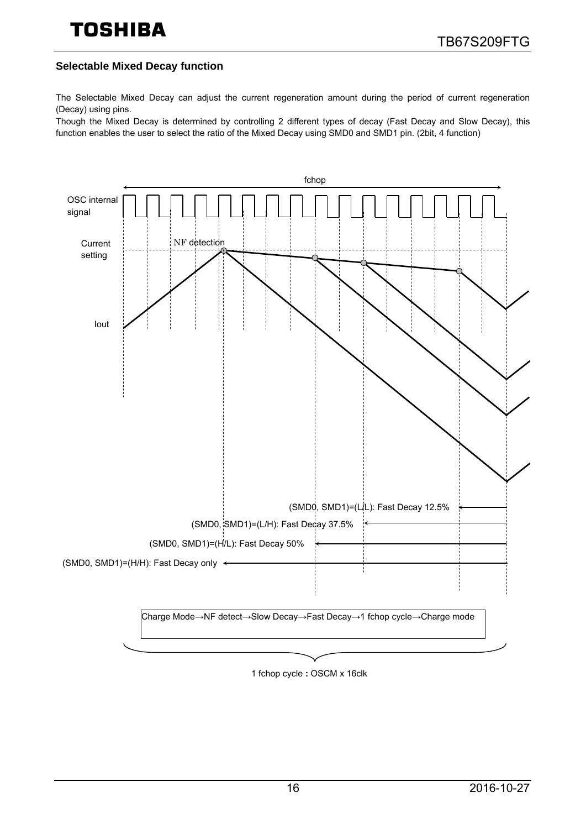#### **Selectable Mixed Decay function**

The Selectable Mixed Decay can adjust the current regeneration amount during the period of current regeneration (Decay) using pins.

Though the Mixed Decay is determined by controlling 2 different types of decay (Fast Decay and Slow Decay), this function enables the user to select the ratio of the Mixed Decay using SMD0 and SMD1 pin. (2bit, 4 function)



1 fchop cycle **:** OSCM x 16clk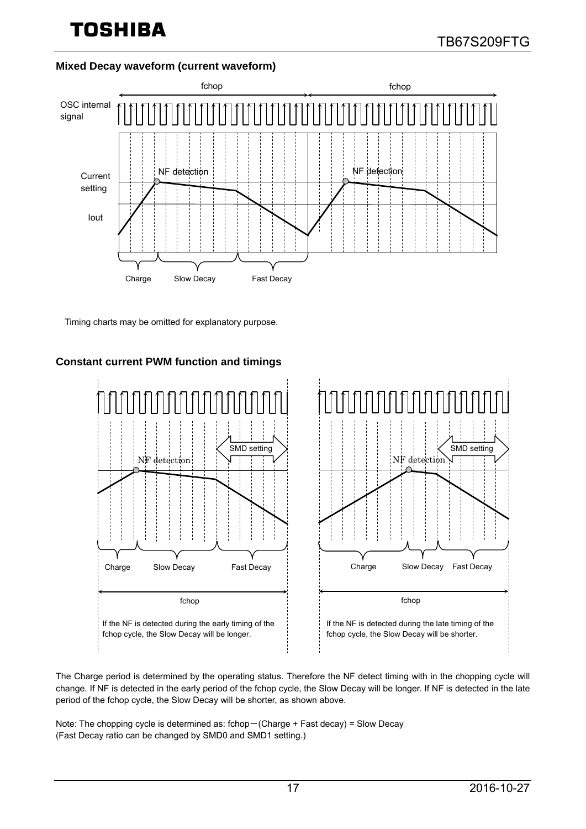#### **Mixed Decay waveform (current waveform)**



Timing charts may be omitted for explanatory purpose.

#### **Constant current PWM function and timings**



The Charge period is determined by the operating status. Therefore the NF detect timing with in the chopping cycle will change. If NF is detected in the early period of the fchop cycle, the Slow Decay will be longer. If NF is detected in the late period of the fchop cycle, the Slow Decay will be shorter, as shown above.

Note: The chopping cycle is determined as: fchop-(Charge + Fast decay) = Slow Decay (Fast Decay ratio can be changed by SMD0 and SMD1 setting.)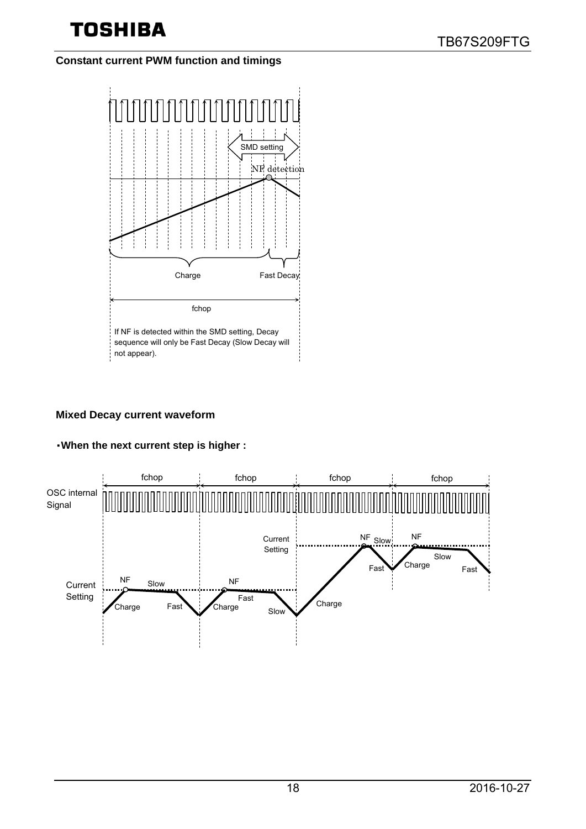## **Constant current PWM function and timings**



#### **Mixed Decay current waveform**

## ・**When the next current step is higher :**

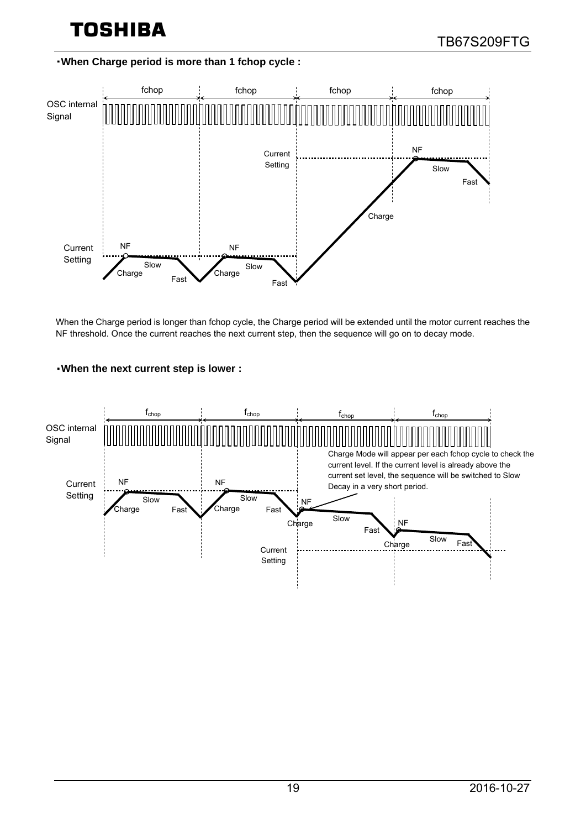#### ・**When Charge period is more than 1 fchop cycle :**



When the Charge period is longer than fchop cycle, the Charge period will be extended until the motor current reaches the NF threshold. Once the current reaches the next current step, then the sequence will go on to decay mode.

#### ・**When the next current step is lower :**

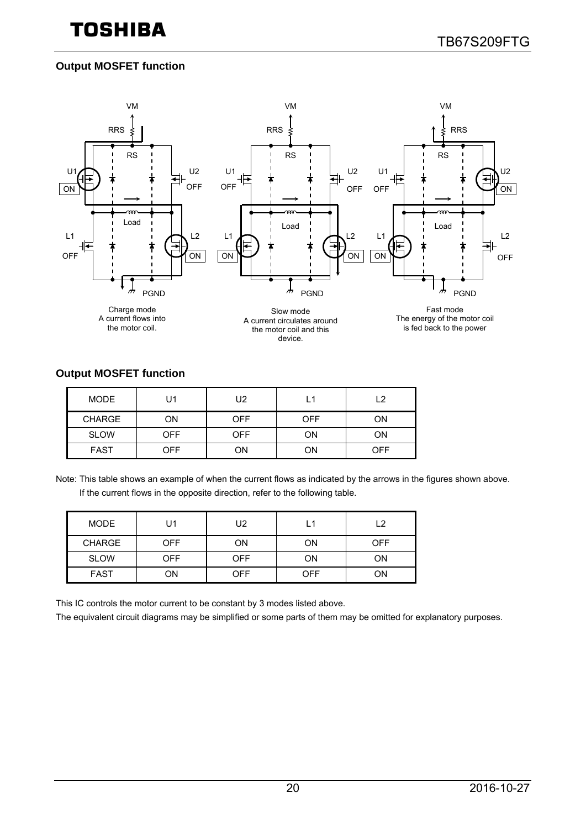## **Output MOSFET function**



#### **Output MOSFET function**

| <b>MODE</b>   | U1  | U2         | L1         | ່າ  |
|---------------|-----|------------|------------|-----|
| <b>CHARGE</b> | ON  | <b>OFF</b> | <b>OFF</b> | ΟN  |
| <b>SLOW</b>   | OFF | OFF        | ΟN         | ΟN  |
| <b>FAST</b>   | OFF | OΝ         | ΟN         | OFF |

Note: This table shows an example of when the current flows as indicated by the arrows in the figures shown above. If the current flows in the opposite direction, refer to the following table.

| <b>MODE</b>   | U1  | U2         | L1  | L2         |
|---------------|-----|------------|-----|------------|
| <b>CHARGE</b> | OFF | OΝ         | ΟN  | <b>OFF</b> |
| <b>SLOW</b>   | OFF | <b>OFF</b> | ΟN  | ON         |
| <b>FAST</b>   | ΟN  | OFF        | OFF | ON         |

This IC controls the motor current to be constant by 3 modes listed above.

The equivalent circuit diagrams may be simplified or some parts of them may be omitted for explanatory purposes.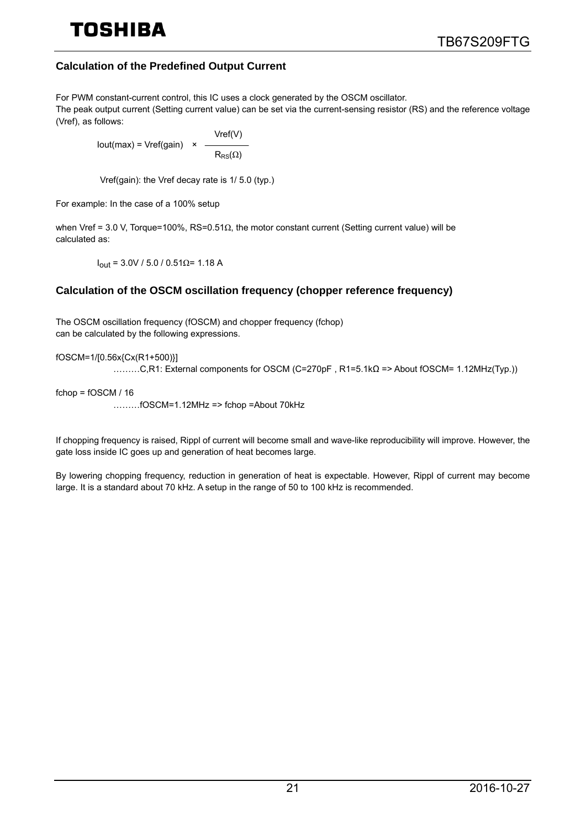# TOSHIRA

### **Calculation of the Predefined Output Current**

For PWM constant-current control, this IC uses a clock generated by the OSCM oscillator. The peak output current (Setting current value) can be set via the current-sensing resistor (RS) and the reference voltage (Vref), as follows:

 $Iout(max) = Vref(gain) \times$ Vref(V)  $R_{\rm RS}(\Omega)$ 

Vref(gain): the Vref decay rate is 1/ 5.0 (typ.)

For example: In the case of a 100% setup

when Vref = 3.0 V, Torque=100%, RS=0.51Ω, the motor constant current (Setting current value) will be calculated as:

 $I_{out}$  = 3.0V / 5.0 / 0.51Ω= 1.18 A

#### **Calculation of the OSCM oscillation frequency (chopper reference frequency)**

The OSCM oscillation frequency (fOSCM) and chopper frequency (fchop) can be calculated by the following expressions.

fOSCM=1/[0.56x{Cx(R1+500)}]

………C,R1: External components for OSCM (C=270pF , R1=5.1kΩ => About fOSCM= 1.12MHz(Typ.))

fchop = fOSCM / 16

………fOSCM=1.12MHz => fchop =About 70kHz

If chopping frequency is raised, Rippl of current will become small and wave-like reproducibility will improve. However, the gate loss inside IC goes up and generation of heat becomes large.

By lowering chopping frequency, reduction in generation of heat is expectable. However, Rippl of current may become large. It is a standard about 70 kHz. A setup in the range of 50 to 100 kHz is recommended.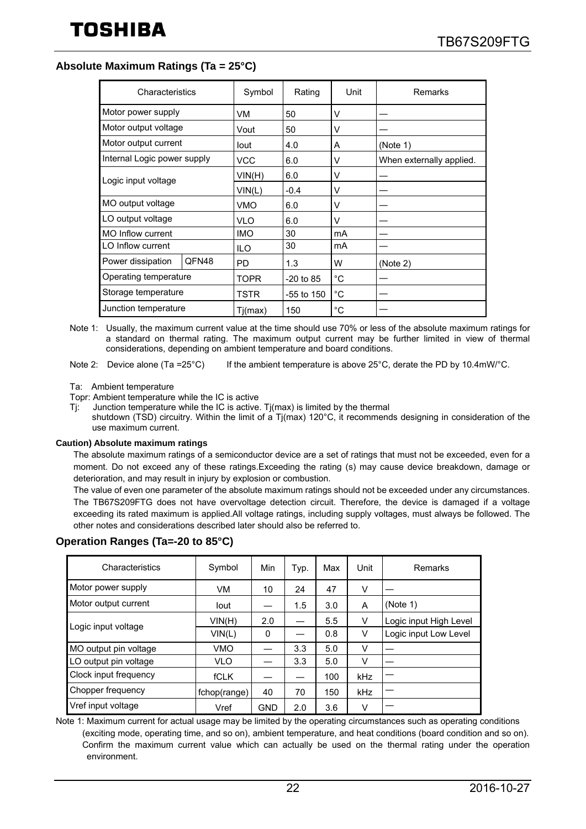#### **Absolute Maximum Ratings (Ta = 25°C)**

| Characteristics             |                       | Symbol     | Rating       | Unit   | Remarks                  |
|-----------------------------|-----------------------|------------|--------------|--------|--------------------------|
| Motor power supply          |                       | VM         | 50           | v      |                          |
| Motor output voltage        |                       | Vout       | 50           | V      |                          |
| Motor output current        |                       | lout       | 4.0          | A      | (Note 1)                 |
| Internal Logic power supply |                       | <b>VCC</b> | 6.0          | V      | When externally applied. |
| Logic input voltage         |                       | VIN(H)     | 6.0          | V      |                          |
|                             |                       | VIN(L)     | $-0.4$       | V      |                          |
| MO output voltage           |                       | VMO        | 6.0          | V      |                          |
| LO output voltage           |                       | <b>VLO</b> | 6.0          | $\vee$ |                          |
| MO Inflow current           |                       | <b>IMO</b> | 30           | mA     |                          |
| LO Inflow current           |                       | <b>ILO</b> | 30           | mA     |                          |
| Power dissipation           | QFN48                 |            | 1.3          | w      | (Note 2)                 |
|                             | Operating temperature |            | $-20$ to 85  | °C     |                          |
|                             | Storage temperature   |            | $-55$ to 150 | °C     |                          |
| Junction temperature        |                       | Tj(max)    | 150          | °C     |                          |

Note 1: Usually, the maximum current value at the time should use 70% or less of the absolute maximum ratings for a standard on thermal rating. The maximum output current may be further limited in view of thermal considerations, depending on ambient temperature and board conditions.

Note 2: Device alone (Ta =25°C) If the ambient temperature is above 25°C, derate the PD by 10.4mW/°C.

Ta: Ambient temperature

Topr: Ambient temperature while the IC is active

Tj: Junction temperature while the IC is active. Tj(max) is limited by the thermal shutdown (TSD) circuitry. Within the limit of a Tj(max) 120°C, it recommends designing in consideration of the use maximum current.

#### **Caution) Absolute maximum ratings**

The absolute maximum ratings of a semiconductor device are a set of ratings that must not be exceeded, even for a moment. Do not exceed any of these ratings.Exceeding the rating (s) may cause device breakdown, damage or deterioration, and may result in injury by explosion or combustion.

The value of even one parameter of the absolute maximum ratings should not be exceeded under any circumstances. The TB67S209FTG does not have overvoltage detection circuit. Therefore, the device is damaged if a voltage exceeding its rated maximum is applied.All voltage ratings, including supply voltages, must always be followed. The other notes and considerations described later should also be referred to.

| Characteristics       | Symbol       | Min        | Typ. | Max | Unit | Remarks                |
|-----------------------|--------------|------------|------|-----|------|------------------------|
| Motor power supply    | VM           | 10         | 24   | 47  | v    |                        |
| Motor output current  | lout         |            | 1.5  | 3.0 | A    | (Note 1)               |
| Logic input voltage   | VIN(H)       | 2.0        |      | 5.5 | v    | Logic input High Level |
|                       | VIN(L)       | 0          |      | 0.8 | V    | Logic input Low Level  |
| MO output pin voltage | VMO          |            | 3.3  | 5.0 | V    |                        |
| LO output pin voltage | <b>VLO</b>   |            | 3.3  | 5.0 | v    |                        |
| Clock input frequency | <b>fCLK</b>  |            |      | 100 | kHz  |                        |
| Chopper frequency     | fchop(range) | 40         | 70   | 150 | kHz  |                        |
| Vref input voltage    | Vref         | <b>GND</b> | 2.0  | 3.6 | v    |                        |

#### **Operation Ranges (Ta=-20 to 85°C)**

Note 1: Maximum current for actual usage may be limited by the operating circumstances such as operating conditions (exciting mode, operating time, and so on), ambient temperature, and heat conditions (board condition and so on). Confirm the maximum current value which can actually be used on the thermal rating under the operation environment.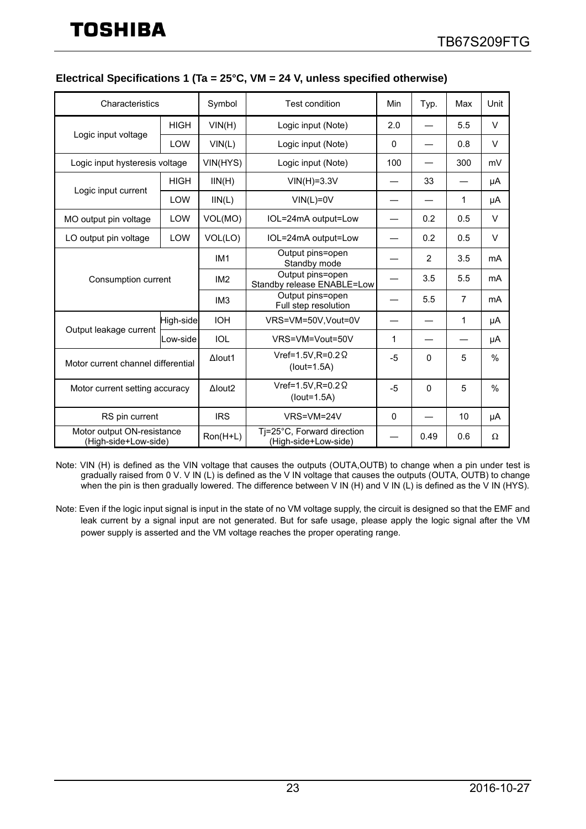| Characteristics                                    |             | Symbol          | Test condition                                     | Min         | Typ.                     | Max            | Unit   |
|----------------------------------------------------|-------------|-----------------|----------------------------------------------------|-------------|--------------------------|----------------|--------|
|                                                    | <b>HIGH</b> | VIN(H)          | Logic input (Note)                                 | 2.0         |                          | 5.5            | $\vee$ |
| Logic input voltage                                | LOW         | VIN(L)          | Logic input (Note)                                 | $\mathbf 0$ |                          | 0.8            | $\vee$ |
| Logic input hysteresis voltage                     |             | VIN(HYS)        | Logic input (Note)                                 | 100         | $\overline{\phantom{0}}$ | 300            | mV     |
|                                                    | <b>HIGH</b> | IIN(H)          | $VIN(H)=3.3V$                                      |             | 33                       |                | μA     |
| Logic input current                                | <b>LOW</b>  | IIN(L)          | $VIN(L)=0V$                                        |             |                          | 1              | μA     |
| MO output pin voltage                              | LOW         | VOL(MO)         | IOL=24mA output=Low                                |             | 0.2                      | 0.5            | $\vee$ |
| LO output pin voltage                              | LOW         | VOL(LO)         | IOL=24mA output=Low                                |             | 0.2                      | 0.5            | $\vee$ |
| Consumption current                                |             | IM <sub>1</sub> | Output pins=open<br>Standby mode                   |             | $\overline{2}$           | 3.5            | mA     |
|                                                    |             | IM <sub>2</sub> | Output pins=open<br>Standby release ENABLE=Low     |             | 3.5                      | 5.5            | mA     |
|                                                    |             | IM <sub>3</sub> | Output pins=open<br>Full step resolution           |             | 5.5                      | $\overline{7}$ | mA     |
| Output leakage current                             | High-side   | <b>IOH</b>      | VRS=VM=50V, Vout=0V                                |             |                          | 1              | μA     |
|                                                    | Low-side    | <b>IOL</b>      | VRS=VM=Vout=50V                                    | 1           |                          |                | μA     |
| Motor current channel differential                 |             | $\Delta$ lout1  | Vref=1.5V, $R=0.2 \Omega$<br>$(lout=1.5A)$         | $-5$        | $\mathbf{0}$             | 5              | $\%$   |
| Motor current setting accuracy                     |             | $A$ lout2       | Vref=1.5V, R=0.2 $\Omega$<br>$(lout=1.5A)$         | -5          | $\mathbf{0}$             | 5              | %      |
| RS pin current                                     |             | <b>IRS</b>      | VRS=VM=24V                                         | $\Omega$    |                          | 10             | μA     |
| Motor output ON-resistance<br>(High-side+Low-side) |             | Ron(H+L)        | Tj=25°C, Forward direction<br>(High-side+Low-side) |             | 0.49                     | 0.6            | Ω      |

#### **Electrical Specifications 1 (Ta = 25°C, VM = 24 V, unless specified otherwise)**

Note: VIN (H) is defined as the VIN voltage that causes the outputs (OUTA,OUTB) to change when a pin under test is gradually raised from 0 V. V IN (L) is defined as the V IN voltage that causes the outputs (OUTA, OUTB) to change when the pin is then gradually lowered. The difference between V IN (H) and V IN (L) is defined as the V IN (HYS).

Note: Even if the logic input signal is input in the state of no VM voltage supply, the circuit is designed so that the EMF and leak current by a signal input are not generated. But for safe usage, please apply the logic signal after the VM power supply is asserted and the VM voltage reaches the proper operating range.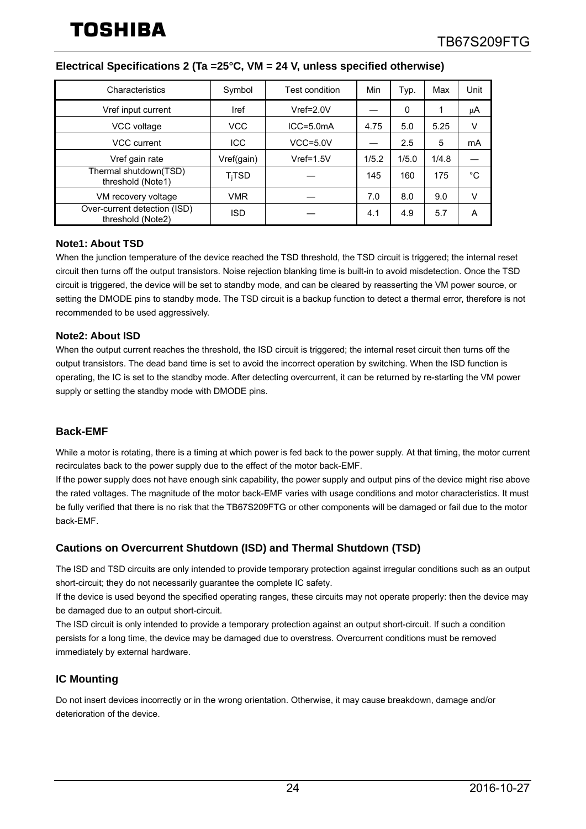| Characteristics                                   | Symbol                  | Test condition | Min   | Typ.  | Max   | Unit   |
|---------------------------------------------------|-------------------------|----------------|-------|-------|-------|--------|
| Vref input current                                | Iref                    | $Vref=2.0V$    |       | 0     | 1     | μA     |
| VCC voltage                                       | <b>VCC</b>              | $ICC = 5.0mA$  | 4.75  | 5.0   | 5.25  | V      |
| VCC current                                       | <b>ICC</b>              | $VCC = 5.0V$   |       | 2.5   | 5     | mA     |
| Vref gain rate                                    | Vref(gain)              | $Vref=1.5V$    | 1/5.2 | 1/5.0 | 1/4.8 |        |
| Thermal shutdown(TSD)<br>threshold (Note1)        | <b>T<sub>i</sub>TSD</b> |                | 145   | 160   | 175   | °C     |
| VM recovery voltage                               | <b>VMR</b>              |                | 7.0   | 8.0   | 9.0   | $\vee$ |
| Over-current detection (ISD)<br>threshold (Note2) | ISD                     |                | 4.1   | 4.9   | 5.7   | A      |

#### **Electrical Specifications 2 (Ta =25°C, VM = 24 V, unless specified otherwise)**

#### **Note1: About TSD**

When the junction temperature of the device reached the TSD threshold, the TSD circuit is triggered; the internal reset circuit then turns off the output transistors. Noise rejection blanking time is built-in to avoid misdetection. Once the TSD circuit is triggered, the device will be set to standby mode, and can be cleared by reasserting the VM power source, or setting the DMODE pins to standby mode. The TSD circuit is a backup function to detect a thermal error, therefore is not recommended to be used aggressively.

#### **Note2: About ISD**

When the output current reaches the threshold, the ISD circuit is triggered; the internal reset circuit then turns off the output transistors. The dead band time is set to avoid the incorrect operation by switching. When the ISD function is operating, the IC is set to the standby mode. After detecting overcurrent, it can be returned by re-starting the VM power supply or setting the standby mode with DMODE pins.

#### **Back-EMF**

While a motor is rotating, there is a timing at which power is fed back to the power supply. At that timing, the motor current recirculates back to the power supply due to the effect of the motor back-EMF.

If the power supply does not have enough sink capability, the power supply and output pins of the device might rise above the rated voltages. The magnitude of the motor back-EMF varies with usage conditions and motor characteristics. It must be fully verified that there is no risk that the TB67S209FTG or other components will be damaged or fail due to the motor back-EMF.

#### **Cautions on Overcurrent Shutdown (ISD) and Thermal Shutdown (TSD)**

The ISD and TSD circuits are only intended to provide temporary protection against irregular conditions such as an output short-circuit; they do not necessarily guarantee the complete IC safety.

If the device is used beyond the specified operating ranges, these circuits may not operate properly: then the device may be damaged due to an output short-circuit.

The ISD circuit is only intended to provide a temporary protection against an output short-circuit. If such a condition persists for a long time, the device may be damaged due to overstress. Overcurrent conditions must be removed immediately by external hardware.

#### **IC Mounting**

Do not insert devices incorrectly or in the wrong orientation. Otherwise, it may cause breakdown, damage and/or deterioration of the device.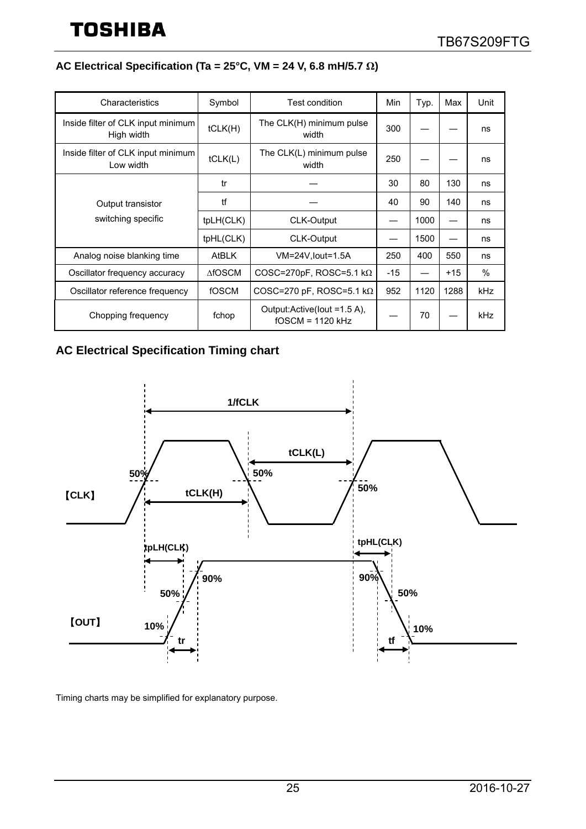## **AC Electrical Specification (Ta = 25°C, VM = 24 V, 6.8 mH/5.7 Ω)**

| Characteristics                                  | Symbol            | <b>Test condition</b>                             | Min   | Typ. | Max   | Unit |
|--------------------------------------------------|-------------------|---------------------------------------------------|-------|------|-------|------|
| Inside filter of CLK input minimum<br>High width | tCLK(H)           | The CLK(H) minimum pulse<br>width                 | 300   |      |       | ns   |
| Inside filter of CLK input minimum<br>Low width  | tCLK(L)           | The CLK(L) minimum pulse<br>width                 | 250   |      |       | ns   |
|                                                  | tr                |                                                   | 30    | 80   | 130   | ns   |
| Output transistor                                | tf                |                                                   | 40    | 90   | 140   | ns   |
| switching specific                               | tpLH(CLK)         | <b>CLK-Output</b>                                 |       | 1000 |       | ns   |
|                                                  | tpHL(CLK)         | CLK-Output                                        |       | 1500 |       | ns   |
| Analog noise blanking time                       | <b>AtBLK</b>      | VM=24V, lout=1.5A                                 | 250   | 400  | 550   | ns   |
| Oscillator frequency accuracy                    | $\triangle$ fOSCM | COSC=270pF, ROSC=5.1 k $\Omega$                   | $-15$ |      | $+15$ | $\%$ |
| Oscillator reference frequency                   | fOSCM             | COSC=270 pF, ROSC=5.1 k $\Omega$                  | 952   | 1120 | 1288  | kHz  |
| Chopping frequency                               | fchop             | Output:Active(lout =1.5 A),<br>$fOSCM = 1120$ kHz |       | 70   |       | kHz  |

## **AC Electrical Specification Timing chart**

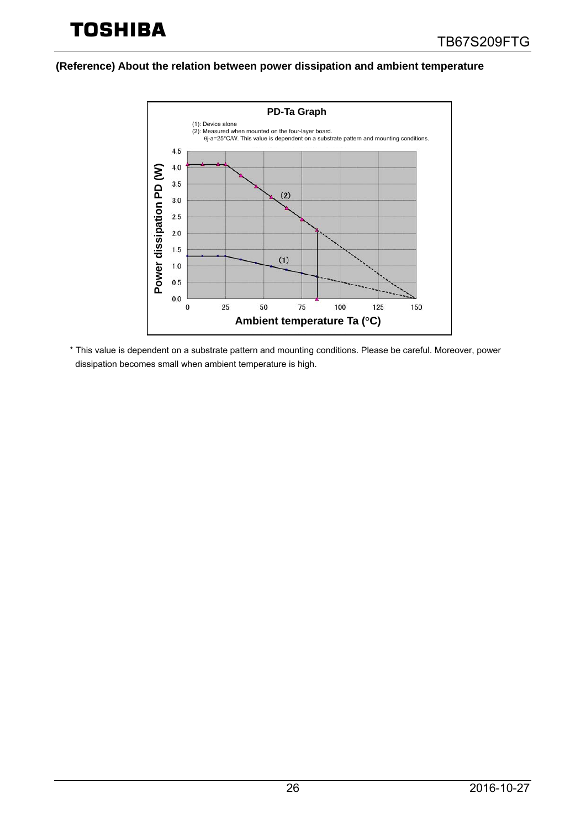**(Reference) About the relation between power dissipation and ambient temperature**



\* This value is dependent on a substrate pattern and mounting conditions. Please be careful. Moreover, power dissipation becomes small when ambient temperature is high.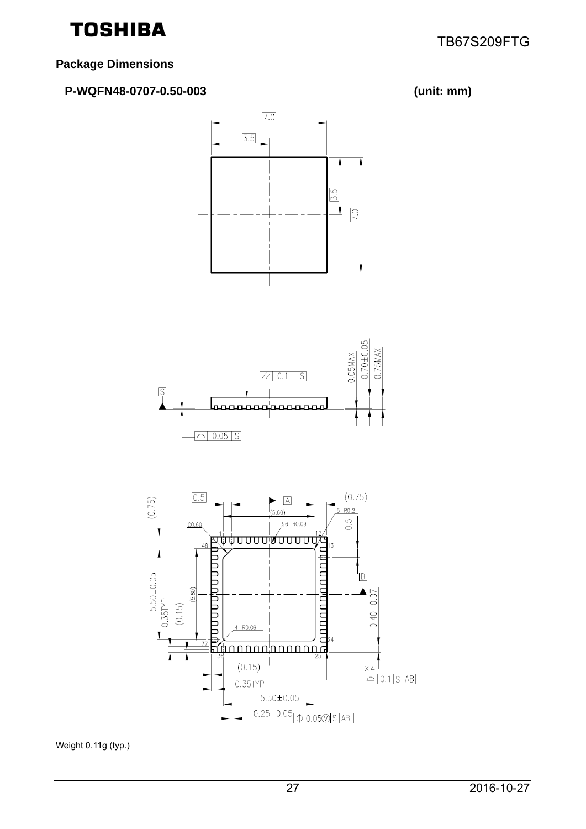## **Package Dimensions**

## **P-WQFN48-0707-0.50-003 (unit: mm)**







Weight 0.11g (typ.)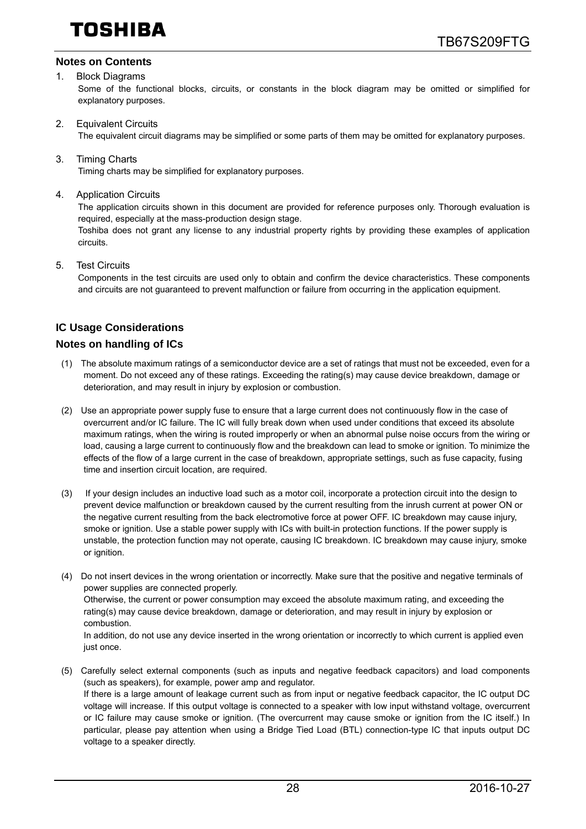#### **Notes on Contents**

#### 1. Block Diagrams

Some of the functional blocks, circuits, or constants in the block diagram may be omitted or simplified for explanatory purposes.

2. Equivalent Circuits

The equivalent circuit diagrams may be simplified or some parts of them may be omitted for explanatory purposes.

3. Timing Charts

Timing charts may be simplified for explanatory purposes.

4. Application Circuits

The application circuits shown in this document are provided for reference purposes only. Thorough evaluation is required, especially at the mass-production design stage.

Toshiba does not grant any license to any industrial property rights by providing these examples of application circuits.

5. Test Circuits

Components in the test circuits are used only to obtain and confirm the device characteristics. These components and circuits are not guaranteed to prevent malfunction or failure from occurring in the application equipment.

#### **IC Usage Considerations**

#### **Notes on handling of ICs**

- (1) The absolute maximum ratings of a semiconductor device are a set of ratings that must not be exceeded, even for a moment. Do not exceed any of these ratings. Exceeding the rating(s) may cause device breakdown, damage or deterioration, and may result in injury by explosion or combustion.
- (2) Use an appropriate power supply fuse to ensure that a large current does not continuously flow in the case of overcurrent and/or IC failure. The IC will fully break down when used under conditions that exceed its absolute maximum ratings, when the wiring is routed improperly or when an abnormal pulse noise occurs from the wiring or load, causing a large current to continuously flow and the breakdown can lead to smoke or ignition. To minimize the effects of the flow of a large current in the case of breakdown, appropriate settings, such as fuse capacity, fusing time and insertion circuit location, are required.
- (3) If your design includes an inductive load such as a motor coil, incorporate a protection circuit into the design to prevent device malfunction or breakdown caused by the current resulting from the inrush current at power ON or the negative current resulting from the back electromotive force at power OFF. IC breakdown may cause injury, smoke or ignition. Use a stable power supply with ICs with built-in protection functions. If the power supply is unstable, the protection function may not operate, causing IC breakdown. IC breakdown may cause injury, smoke or ignition.
- (4) Do not insert devices in the wrong orientation or incorrectly. Make sure that the positive and negative terminals of power supplies are connected properly. Otherwise, the current or power consumption may exceed the absolute maximum rating, and exceeding the rating(s) may cause device breakdown, damage or deterioration, and may result in injury by explosion or combustion. In addition, do not use any device inserted in the wrong orientation or incorrectly to which current is applied even just once.
- (5) Carefully select external components (such as inputs and negative feedback capacitors) and load components (such as speakers), for example, power amp and regulator. If there is a large amount of leakage current such as from input or negative feedback capacitor, the IC output DC voltage will increase. If this output voltage is connected to a speaker with low input withstand voltage, overcurrent or IC failure may cause smoke or ignition. (The overcurrent may cause smoke or ignition from the IC itself.) In particular, please pay attention when using a Bridge Tied Load (BTL) connection-type IC that inputs output DC voltage to a speaker directly.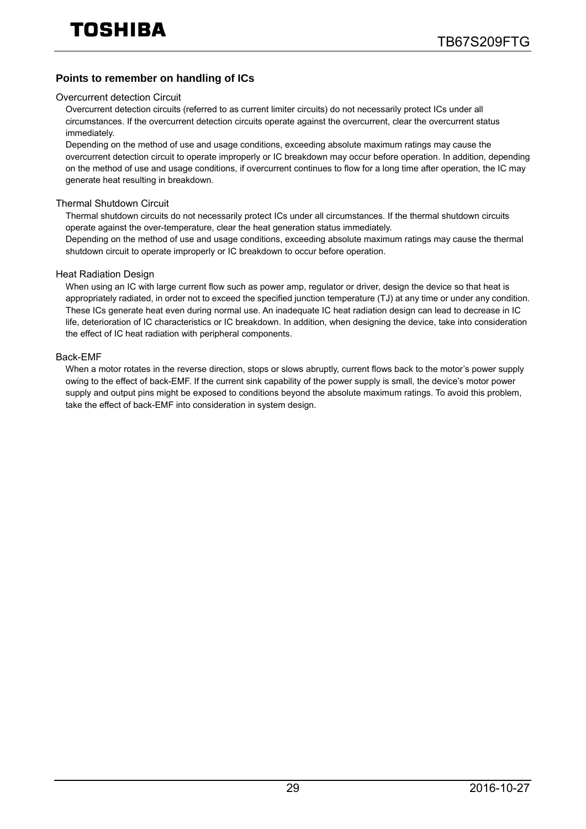#### **Points to remember on handling of ICs**

#### Overcurrent detection Circuit

Overcurrent detection circuits (referred to as current limiter circuits) do not necessarily protect ICs under all circumstances. If the overcurrent detection circuits operate against the overcurrent, clear the overcurrent status immediately.

Depending on the method of use and usage conditions, exceeding absolute maximum ratings may cause the overcurrent detection circuit to operate improperly or IC breakdown may occur before operation. In addition, depending on the method of use and usage conditions, if overcurrent continues to flow for a long time after operation, the IC may generate heat resulting in breakdown.

#### Thermal Shutdown Circuit

Thermal shutdown circuits do not necessarily protect ICs under all circumstances. If the thermal shutdown circuits operate against the over-temperature, clear the heat generation status immediately.

Depending on the method of use and usage conditions, exceeding absolute maximum ratings may cause the thermal shutdown circuit to operate improperly or IC breakdown to occur before operation.

#### Heat Radiation Design

When using an IC with large current flow such as power amp, regulator or driver, design the device so that heat is appropriately radiated, in order not to exceed the specified junction temperature (TJ) at any time or under any condition. These ICs generate heat even during normal use. An inadequate IC heat radiation design can lead to decrease in IC life, deterioration of IC characteristics or IC breakdown. In addition, when designing the device, take into consideration the effect of IC heat radiation with peripheral components.

#### Back-EMF

When a motor rotates in the reverse direction, stops or slows abruptly, current flows back to the motor's power supply owing to the effect of back-EMF. If the current sink capability of the power supply is small, the device's motor power supply and output pins might be exposed to conditions beyond the absolute maximum ratings. To avoid this problem, take the effect of back-EMF into consideration in system design.